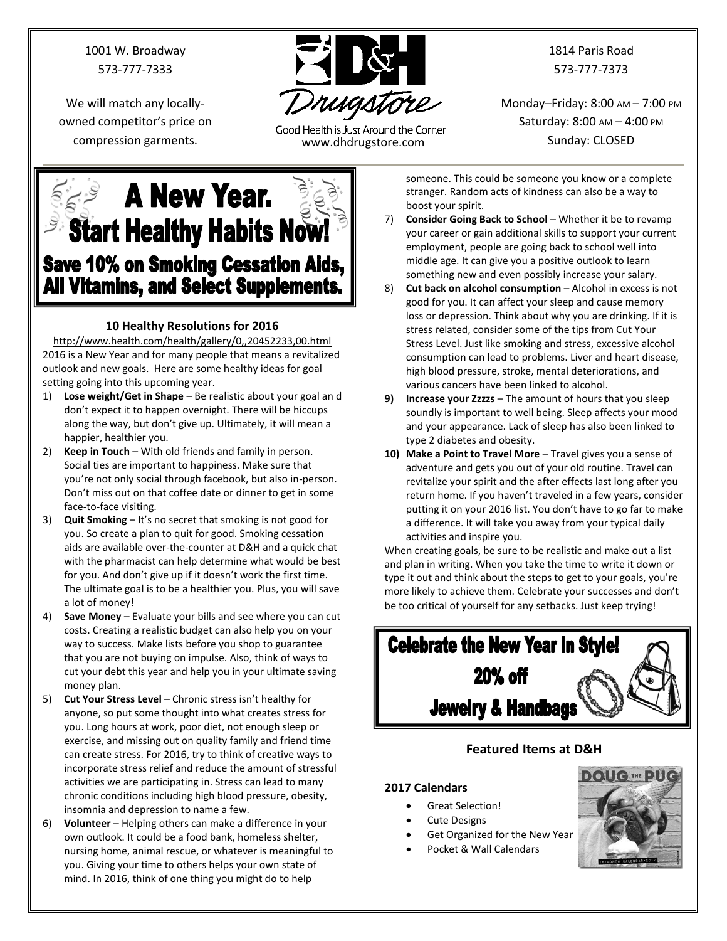1001 W. Broadway 573-777-7333

We will match any locallyowned competitor's price on



Good Health is Just Around the Corner compression garments. www.dhdrugstore.com

1814 Paris Road 573-777-7373

Monday–Friday: 8:00 AM – 7:00 PM Saturday: 8:00 AM – 4:00 PM Sunday: CLOSED

 $\leq$  A New Year. **Start Healthy Habits Now! Save 10% on Smoking Cessation Aids, All Vitamins, and Select Supplements.** 

# **10 Healthy Resolutions for 2016**

<http://www.health.com/health/gallery/0,,20452233,00.html> 2016 is a New Year and for many people that means a revitalized outlook and new goals. Here are some healthy ideas for goal setting going into this upcoming year.

- 1) **Lose weight/Get in Shape** Be realistic about your goal an d don't expect it to happen overnight. There will be hiccups along the way, but don't give up. Ultimately, it will mean a happier, healthier you.
- 2) **Keep in Touch** With old friends and family in person. Social ties are important to happiness. Make sure that you're not only social through facebook, but also in-person. Don't miss out on that coffee date or dinner to get in some face-to-face visiting.
- 3) **Quit Smoking** It's no secret that smoking is not good for you. So create a plan to quit for good. Smoking cessation aids are available over-the-counter at D&H and a quick chat with the pharmacist can help determine what would be best for you. And don't give up if it doesn't work the first time. The ultimate goal is to be a healthier you. Plus, you will save a lot of money!
- 4) **Save Money** Evaluate your bills and see where you can cut costs. Creating a realistic budget can also help you on your way to success. Make lists before you shop to guarantee that you are not buying on impulse. Also, think of ways to cut your debt this year and help you in your ultimate saving money plan.
- 5) **Cut Your Stress Level** Chronic stress isn't healthy for anyone, so put some thought into what creates stress for you. Long hours at work, poor diet, not enough sleep or exercise, and missing out on quality family and friend time can create stress. For 2016, try to think of creative ways to incorporate stress relief and reduce the amount of stressful activities we are participating in. Stress can lead to many chronic conditions including high blood pressure, obesity, insomnia and depression to name a few.
- 6) **Volunteer** Helping others can make a difference in your own outlook. It could be a food bank, homeless shelter, nursing home, animal rescue, or whatever is meaningful to you. Giving your time to others helps your own state of mind. In 2016, think of one thing you might do to help

someone. This could be someone you know or a complete stranger. Random acts of kindness can also be a way to boost your spirit.

- 7) **Consider Going Back to School** Whether it be to revamp your career or gain additional skills to support your current employment, people are going back to school well into middle age. It can give you a positive outlook to learn something new and even possibly increase your salary.
- 8) **Cut back on alcohol consumption** Alcohol in excess is not good for you. It can affect your sleep and cause memory loss or depression. Think about why you are drinking. If it is stress related, consider some of the tips from Cut Your Stress Level. Just like smoking and stress, excessive alcohol consumption can lead to problems. Liver and heart disease, high blood pressure, stroke, mental deteriorations, and various cancers have been linked to alcohol.
- **9) Increase your Zzzzs** The amount of hours that you sleep soundly is important to well being. Sleep affects your mood and your appearance. Lack of sleep has also been linked to type 2 diabetes and obesity.
- **10) Make a Point to Travel More** Travel gives you a sense of adventure and gets you out of your old routine. Travel can revitalize your spirit and the after effects last long after you return home. If you haven't traveled in a few years, consider putting it on your 2016 list. You don't have to go far to make a difference. It will take you away from your typical daily activities and inspire you.

When creating goals, be sure to be realistic and make out a list and plan in writing. When you take the time to write it down or type it out and think about the steps to get to your goals, you're more likely to achieve them. Celebrate your successes and don't be too critical of yourself for any setbacks. Just keep trying!



# **Featured Items at D&H**

## **2017 Calendars**

- Great Selection!
- Cute Designs
- Get Organized for the New Year
	- Pocket & Wall Calendars